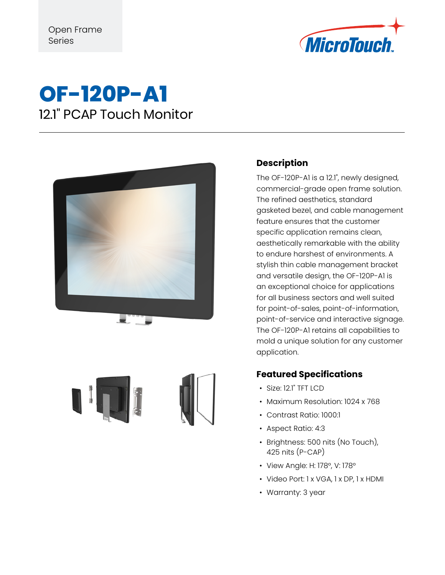

## **OF-120P-A1** 12.1" PCAP Touch Monitor





### **Description**

The OF-120P-A1 is a 12.1", newly designed, commercial-grade open frame solution. The refined aesthetics, standard gasketed bezel, and cable management feature ensures that the customer specific application remains clean, aesthetically remarkable with the ability to endure harshest of environments. A stylish thin cable management bracket and versatile design, the OF-120P-A1 is an exceptional choice for applications for all business sectors and well suited for point-of-sales, point-of-information, point-of-service and interactive signage. The OF-120P-A1 retains all capabilities to mold a unique solution for any customer application.

#### **Featured Specifications**

- Size: 12.1" TFT LCD
- Maximum Resolution: 1024 x 768
- Contrast Ratio: 1000:1
- Aspect Ratio: 4:3
- Brightness: 500 nits (No Touch), 425 nits (P-CAP)
- View Angle: H: 178°, V: 178°
- Video Port: 1 x VGA, 1 x DP, 1 x HDMI
- Warranty: 3 year